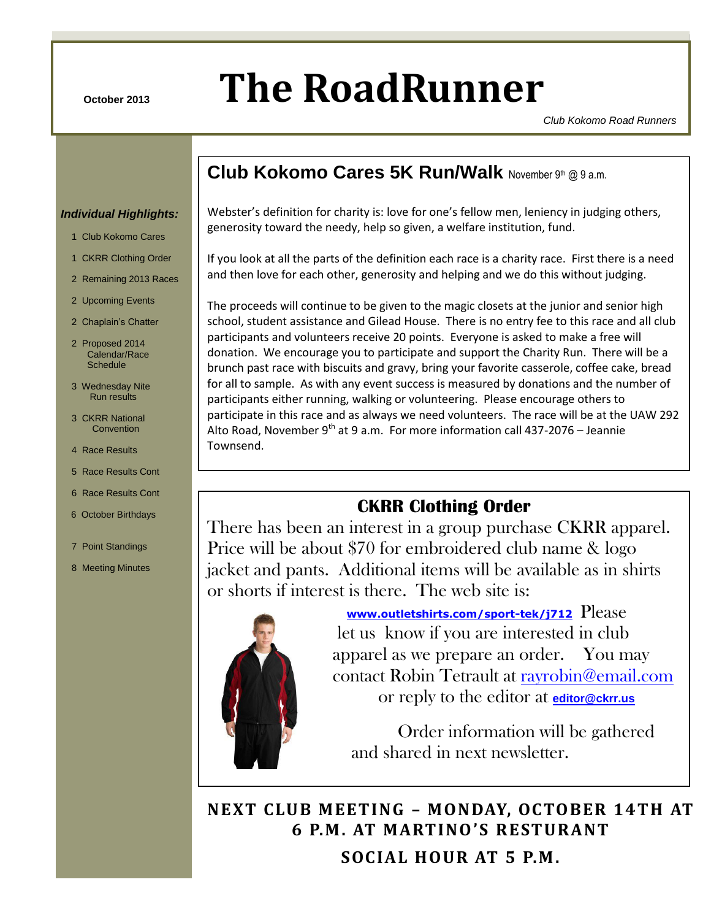# **October 2013 The RoadRunner**

*Club Kokomo Road Runners*

### **Club Kokomo Cares 5K Run/Walk** November 9th @ 9 a.m.

### *Individual Highlights:*

- 1 Club Kokomo Cares
- 1 CKRR Clothing Order
- 2 Remaining 2013 Races
- 2 Upcoming Events
- 2 Chaplain's Chatter
- 2 Proposed 2014 Calendar/Race **Schedule**
- 3 Wednesday Nite Run results
- 3 CKRR National **Convention**
- 4 Race Results
- 5 Race Results Cont
- 6 Race Results Cont
- 6 October Birthdays
- 7 Point Standings
- 8 Meeting Minutes

Webster's definition for charity is: love for one's fellow men, leniency in judging others, generosity toward the needy, help so given, a welfare institution, fund.

CKRR –October 2013 Page 1 of 8

If you look at all the parts of the definition each race is a charity race. First there is a need and then love for each other, generosity and helping and we do this without judging.

The proceeds will continue to be given to the magic closets at the junior and senior high school, student assistance and Gilead House. There is no entry fee to this race and all club participants and volunteers receive 20 points. Everyone is asked to make a free will donation. We encourage you to participate and support the Charity Run. There will be a brunch past race with biscuits and gravy, bring your favorite casserole, coffee cake, bread for all to sample. As with any event success is measured by donations and the number of participants either running, walking or volunteering. Please encourage others to participate in this race and as always we need volunteers. The race will be at the UAW 292 Alto Road, November 9<sup>th</sup> at 9 a.m. For more information call 437-2076 – Jeannie Townsend.

### **CKRR Clothing Order**

There has been an interest in a group purchase CKRR apparel. Price will be about \$70 for embroidered club name & logo jacket and pants. Additional items will be available as in shirts or shorts if interest is there. The web site is:



 **[www.outletshirts.com/sport-tek/j712](http://www.outletshirts.com/sport-tek/j712)** Please let us know if you are interested in club apparel as we prepare an order. You may contact Robin Tetrault at [rayrobin@email.com](mailto:rayrobin@email.com) or reply to the editor at **[editor@ckrr.us](mailto:editor@ckrr.us)**

 Order information will be gathered and shared in next newsletter.

**NEXT CLUB MEETING – MONDAY, OCTOBER 14TH AT 6 P.M. AT MARTINO 'S RESTURANT SOCIAL HOUR AT 5 P.M.**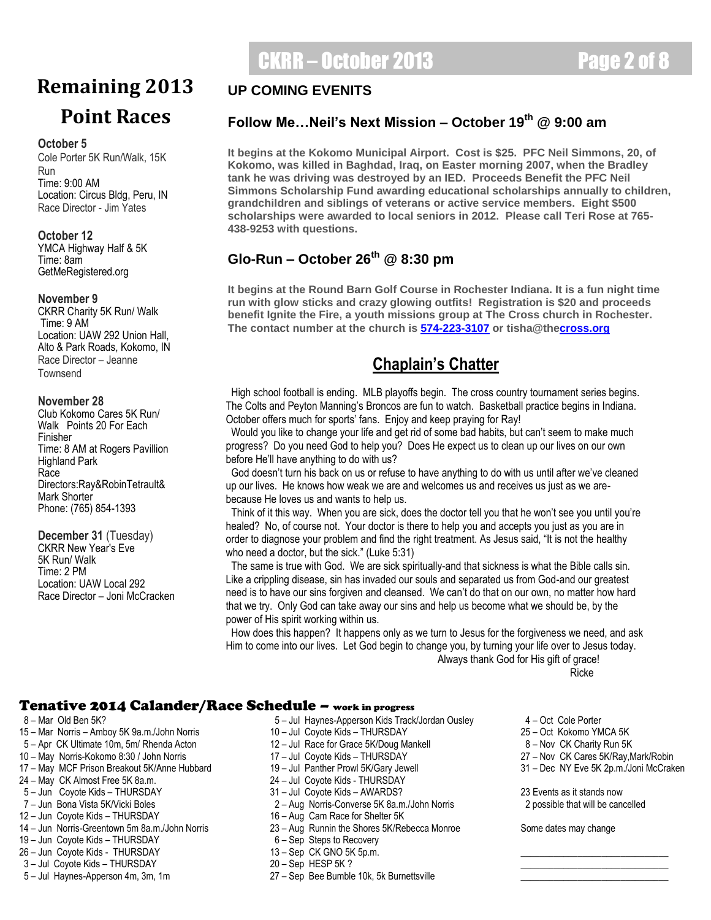## CKRR – October 2013 Page 2 of 8

## **Remaining 2013 Point Races**

### **October 5**

Cole Porter 5K Run/Walk, 15K Run Time: 9:00 AM Location: Circus Bldg, Peru, IN Race Director - Jim Yates

**October 12** YMCA Highway Half & 5K Time: 8am GetMeRegistered.org

### **November 9**

CKRR Charity 5K Run/ Walk Time: 9 AM Location: UAW 292 Union Hall, Alto & Park Roads, Kokomo, IN Race Director – Jeanne Townsend

### **November 28**

Club Kokomo Cares 5K Run/ Walk Points 20 For Each Finisher Time: 8 AM at Rogers Pavillion Highland Park Race Directors:Ray&RobinTetrault& Mark Shorter Phone: (765) 854-1393

**December 31** (Tuesday) CKRR New Year's Eve 5K Run/ Walk Time: 2 PM Location: UAW Local 292 Race Director – Joni McCracken

### **UP COMING EVENITS**

### **Follow Me…Neil's Next Mission – October 19th @ 9:00 am**

**It begins at the Kokomo Municipal Airport. Cost is \$25. PFC Neil Simmons, 20, of Kokomo, was killed in Baghdad, Iraq, on Easter morning 2007, when the Bradley tank he was driving was destroyed by an IED. Proceeds Benefit the PFC Neil Simmons Scholarship Fund awarding educational scholarships annually to children, grandchildren and siblings of veterans or active service members. Eight \$500 scholarships were awarded to local seniors in 2012. Please call Teri Rose at 765- 438-9253 with questions.**

### **Glo-Run – October 26th @ 8:30 pm**

**HAPPY The contact number at the church is [574-223-3107](tel:574-223-3107) or tisha@th[ecross.org](http://cross.org/) It begins at the Round Barn Golf Course in Rochester Indiana. It is a fun night time run with glow sticks and crazy glowing outfits! Registration is \$20 and proceeds benefit Ignite the Fire, a youth missions group at The Cross church in Rochester.** 

### **BIRTHDAY! Chaplain's Chatter**

 High school football is ending. MLB playoffs begin. The cross country tournament series begins. The Colts and Peyton Manning's Broncos are fun to watch. Basketball practice begins in Indiana. October offers much for sports' fans. Enjoy and keep praying for Ray!

 Would you like to change your life and get rid of some bad habits, but can't seem to make much progress? Do you need God to help you? Does He expect us to clean up our lives on our own before He'll have anything to do with us?

 God doesn't turn his back on us or refuse to have anything to do with us until after we've cleaned up our lives. He knows how weak we are and welcomes us and receives us just as we arebecause He loves us and wants to help us.

 Think of it this way. When you are sick, does the doctor tell you that he won't see you until you're healed? No, of course not. Your doctor is there to help you and accepts you just as you are in order to diagnose your problem and find the right treatment. As Jesus said, "It is not the healthy who need a doctor, but the sick." (Luke 5:31)

 The same is true with God. We are sick spiritually-and that sickness is what the Bible calls sin. Like a crippling disease, sin has invaded our souls and separated us from God-and our greatest need is to have our sins forgiven and cleansed. We can't do that on our own, no matter how hard that we try. Only God can take away our sins and help us become what we should be, by the power of His spirit working within us.

 How does this happen? It happens only as we turn to Jesus for the forgiveness we need, and ask Him to come into our lives. Let God begin to change you, by turning your life over to Jesus today. Always thank God for His gift of grace!

reduced to the contract of the contract of the contract of the contract of the contract of the contract of the

### Tenative 2014 Calander/Race Schedule – work in progress

- 
- 15 Mar Norris Amboy 5K 9a.m./John Norris 10 Jul Coyote Kids THURSDAY 25 Oct Kokomo YMCA 5K
- 5 Apr CK Ultimate 10m, 5m/ Rhenda Acton 12 Jul Race for Grace 5K/Doug Mankell 8 Nov CK Charity Run 5K
- 10 May Norris-Kokomo 8:30 / John Norris 17 Jul Coyote Kids THURSDAY 27 Nov CK Cares 5K/Ray,Mark/Robin
- 17 May MCF Prison Breakout 5K/Anne Hubbard 19 Jul Panther Prowl 5K/Gary Jewell 19 31 Dec NY Eve 5K 2p.m./Joni McCraken<br>24 May CK Almost Free 5K 8a.m. 24 1ul Coyote Kids THURSDAY
- 24 May CK Almost Free 5K 8a.m. 24 Jul Coyote Kids THURSDAY
- 
- 
- 12 Jun Coyote Kids THURSDAY 16 Aug Cam Race for Shelter 5K
- 
- 19 Jun Coyote Kids THURSDAY 6 Sep Steps to Recovery
- 26 Jun Coyote Kids THURSDAY 13 Sep CK GNO 5K 5p.m.
- 3 Jul Coyote Kids THURSDAY 20 Sep HESP 5K ?
- 
- 8 Mar Old Ben 5K? The State of the State of the State of Haynes-Apperson Kids Track/Jordan Ousley 4 Oct Cole Porter
	-
	-
	-
	-
	-
	-
	- 2 Aug Norris-Converse 5K 8a.m./John Norris
	-
- 14 Jun Norris-Greentown 5m 8a.m./John Norris 23 Aug Runnin the Shores 5K/Rebecca Monroe Some dates may change
	-
	-
	-
- 5 Jul Haynes-Apperson 4m, 3m, 1m 27 Sep Bee Bumble 10k, 5k Burnettsville
- 
- 
- 
- 
- 

5 – Jun Coyote Kids – THURSDAY **31 – Jul Coyote Kids – AWARDS?** 23 Events as it stands now<br>31 – Jun Bona Vista 5K/Vicki Boles 2 – 200 Norris-Converse 5K 8a.m./John Norris 2 possible that will be cancelled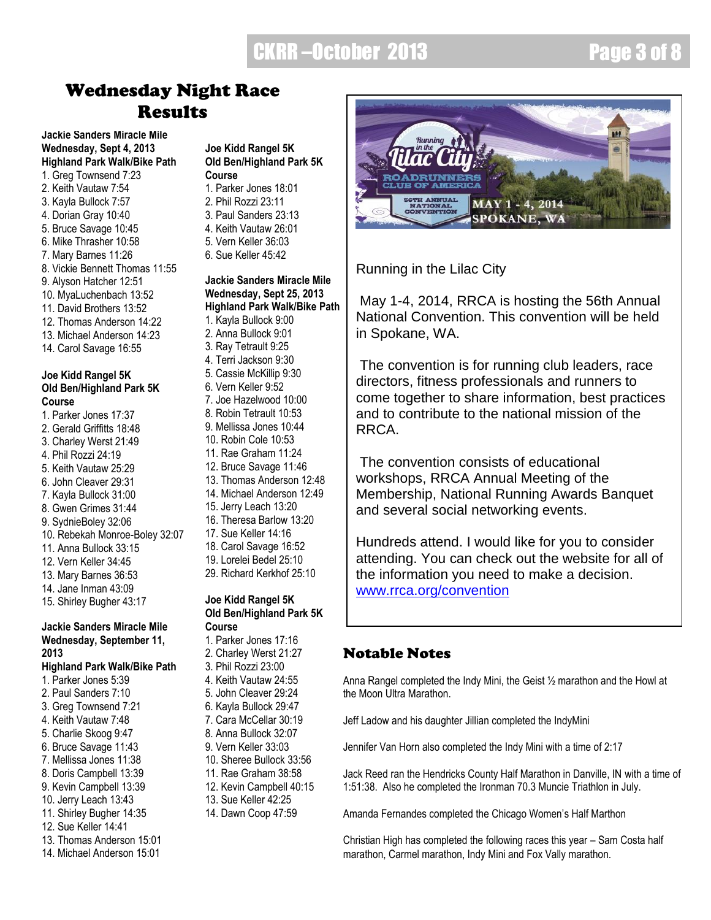## CKRR –October 2013 Page 3 of 8

## Wednesday Night Race Results

**Jackie Sanders Miracle Mile Wednesday, Sept 4, 2013 Highland Park Walk/Bike Path** 1. Greg Townsend 7:23 2. Keith Vautaw 7:54 3. Kayla Bullock 7:57 4. Dorian Gray 10:40 5. Bruce Savage 10:45 6. Mike Thrasher 10:58 7. Mary Barnes 11:26 8. Vickie Bennett Thomas 11:55 9. Alyson Hatcher 12:51 10. MyaLuchenbach 13:52 11. David Brothers 13:52 12. Thomas Anderson 14:22 13. Michael Anderson 14:23 14. Carol Savage 16:55

### **Joe Kidd Rangel 5K Old Ben/Highland Park 5K Course**

1. Parker Jones 17:37 2. Gerald Griffitts 18:48 3. Charley Werst 21:49 4. Phil Rozzi 24:19 5. Keith Vautaw 25:29 6. John Cleaver 29:31 7. Kayla Bullock 31:00 8. Gwen Grimes 31:44 9. SydnieBoley 32:06 10. Rebekah Monroe-Boley 32:07 11. Anna Bullock 33:15 12. Vern Keller 34:45 13. Mary Barnes 36:53 14. Jane Inman 43:09 15. Shirley Bugher 43:17

### **Jackie Sanders Miracle Mile Wednesday, September 11, 2013**

**Highland Park Walk/Bike Path** 1. Parker Jones 5:39 2. Paul Sanders 7:10 3. Greg Townsend 7:21 4. Keith Vautaw 7:48 5. Charlie Skoog 9:47 6. Bruce Savage 11:43 7. Mellissa Jones 11:38 8. Doris Campbell 13:39 9. Kevin Campbell 13:39 10. Jerry Leach 13:43 11. Shirley Bugher 14:35 12. Sue Keller 14:41 13. Thomas Anderson 15:01 14. Michael Anderson 15:01

### **Joe Kidd Rangel 5K Old Ben/Highland Park 5K Course** 1. Parker Jones 18:01

- 2. Phil Rozzi 23:11
- 3. Paul Sanders 23:13
- 4. Keith Vautaw 26:01
- 5. Vern Keller 36:03
- 6. Sue Keller 45:42

### **Jackie Sanders Miracle Mile Wednesday, Sept 25, 2013 Highland Park Walk/Bike Path** 1. Kayla Bullock 9:00

- 2. Anna Bullock 9:01 3. Ray Tetrault 9:25 4. Terri Jackson 9:30 5. Cassie McKillip 9:30 6. Vern Keller 9:52 7. Joe Hazelwood 10:00 8. Robin Tetrault 10:53 9. Mellissa Jones 10:44 10. Robin Cole 10:53 11. Rae Graham 11:24 12. Bruce Savage 11:46 13. Thomas Anderson 12:48 14. Michael Anderson 12:49 15. Jerry Leach 13:20 16. Theresa Barlow 13:20 17. Sue Keller 14:16
- 18. Carol Savage 16:52
- 19. Lorelei Bedel 25:10 29. Richard Kerkhof 25:10
- 

### **Joe Kidd Rangel 5K Old Ben/Highland Park 5K Course**

- 1. Parker Jones 17:16 2. Charley Werst 21:27 3. Phil Rozzi 23:00 4. Keith Vautaw 24:55 5. John Cleaver 29:24 6. Kayla Bullock 29:47 7. Cara McCellar 30:19 8. Anna Bullock 32:07 9. Vern Keller 33:03 10. Sheree Bullock 33:56 11. Rae Graham 38:58 12. Kevin Campbell 40:15 13. Sue Keller 42:25
- 
- 14. Dawn Coop 47:59

MAY 1 - 4, 2014 **SPOKANE, WA** 

Running in the Lilac City

May 1-4, 2014, RRCA is hosting the 56th Annual National Convention. This convention will be held in Spokane, WA.

The convention is for running club leaders, race directors, fitness professionals and runners to come together to share information, best practices and to contribute to the national mission of the RRCA.

The convention consists of educational workshops, RRCA Annual Meeting of the Membership, National Running Awards Banquet and several social networking events.

Hundreds attend. I would like for you to consider attending. You can check out the website for all of the information you need to make a decision. [www.rrca.org/convention](http://www.rrca.org/convention)

### Notable Notes

Anna Rangel completed the Indy Mini, the Geist ½ marathon and the Howl at the Moon Ultra Marathon.

Jeff Ladow and his daughter Jillian completed the IndyMini

Jennifer Van Horn also completed the Indy Mini with a time of 2:17

Jack Reed ran the Hendricks County Half Marathon in Danville, IN with a time of 1:51:38. Also he completed the Ironman 70.3 Muncie Triathlon in July.

Amanda Fernandes completed the Chicago Women's Half Marthon

Christian High has completed the following races this year – Sam Costa half marathon, Carmel marathon, Indy Mini and Fox Vally marathon.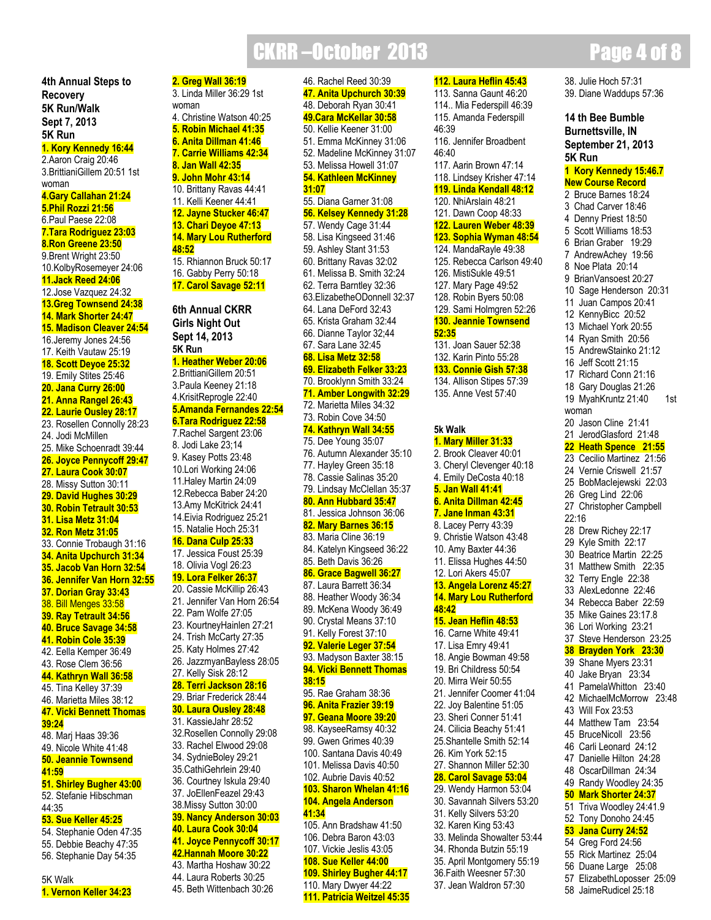## **CKRR-October 2013 Page 4 of 8**

**4th Annual Steps to Recovery 5K Run/Walk Sept 7, 2013**

**5K Run 1. Kory Kennedy 16:44** 2.Aaron Craig 20:46 3.BrittianiGillem 20:51 1st woman **4.Gary Callahan 21:24 5.Phil Rozzi 21:56** 6.Paul Paese 22:08 **7.Tara Rodriguez 23:03 8.Ron Greene 23:50** 9.Brent Wright 23:50 10.KolbyRosemeyer 24:06 **11.Jack Reed 24:06** 12.Jose Vazquez 24:32 **13.Greg Townsend 24:38 14. Mark Shorter 24:47 15. Madison Cleaver 24:54** 16.Jeremy Jones 24:56 17. Keith Vautaw 25:19 **18. Scott Deyoe 25:32** 19. Emily Stites 25:46 **20. Jana Curry 26:00 21. Anna Rangel 26:43 22. Laurie Ousley 28:17** 23. Rosellen Connolly 28:23 24. Jodi McMillen 25. Mike Schoenradt 39:44 **26. Joyce Pennycoff 29:47 27. Laura Cook 30:07** 28. Missy Sutton 30:11 **29. David Hughes 30:29 30. Robin Tetrault 30:53 31. Lisa Metz 31:04 32. Ron Metz 31:05** 33. Connie Trobaugh 31:16 **34. Anita Upchurch 31:34 35. Jacob Van Horn 32:54 36. Jennifer Van Horn 32:55 37. Dorian Gray 33:43** 38. Bill Menges 33:58 **39. Ray Tetrault 34:56 40. Bruce Savage 34:58 41. Robin Cole 35:39** 42. Eella Kemper 36:49 43. Rose Clem 36:56 **44. Kathryn Wall 36:58** 45. Tina Kelley 37:39 46. Marietta Miles 38:12 **47. Vicki Bennett Thomas 39:24**

48. Marj Haas 39:36 49. Nicole White 41:48 **50. Jeannie Townsend 41:59 51. Shirley Bugher 43:00**

### 52. Stefanie Hibschman 44:35

### **53. Sue Keller 45:25**

54. Stephanie Oden 47:35 55. Debbie Beachy 47:35 56. Stephanie Day 54:35

5K Walk

**1. Vernon Keller 34:23**

**2. Greg Wall 36:19** 3. Linda Miller 36:29 1st woman 4. Christine Watson 40:25

- **5. Robin Michael 41:35 6. Anita Dillman 41:46**
- **7. Carrie Williams 42:34**
- **8. Jan Wall 42:35 9. John Mohr 43:14**
- 10. Brittany Ravas 44:41 11. Kelli Keener 44:41
- **12. Jayne Stucker 46:47 13. Chari Deyoe 47:13 14. Mary Lou Rutherford**
- **48:52** 15. Rhiannon Bruck 50:17 16. Gabby Perry 50:18
- **17. Carol Savage 52:11**

### **6th Annual CKRR Girls Night Out Sept 14, 2013 5K Run 1. Heather Weber 20:06**

### 2.BrittianiGillem 20:51 3.Paula Keeney 21:18 4.KrisitReprogle 22:40 **5.Amanda Fernandes 22:54**

### **6.Tara Rodriguez 22:58**

7.Rachel Sargent 23:06 8. Jodi Lake 23;14 9. Kasey Potts 23:48 10.Lori Working 24:06 11.Haley Martin 24:09 12.Rebecca Baber 24:20 13.Amy McKitrick 24:41 14.Eivia Rodriguez 25:21 15. Natalie Hoch 25:31

### **16. Dana Culp 25:33**

17. Jessica Foust 25:39 18. Olivia Vogl 26:23

### **19. Lora Felker 26:37**

20. Cassie McKillip 26:43 21. Jennifer Van Horn 26:54 22. Pam Wolfe 27:05 23. KourtneyHainlen 27:21 24. Trish McCarty 27:35 25. Katy Holmes 27:42 26. JazzmyanBayless 28:05 27. Kelly Sisk 28:12 **28. Terri Jackson 28:16** 29. Briar Frederick 28:44 **30. Laura Ousley 28:48**

### 31. KassieJahr 28:52

- 32.Rosellen Connolly 29:08 33. Rachel Elwood 29:08 34. SydnieBoley 29:21 35.CathiGehrlein 29:40 36. Courtney Iskula 29:40 37. JoEllenFeazel 29:43 38.Missy Sutton 30:00 **39. Nancy Anderson 30:03 40. Laura Cook 30:04 41. Joyce Pennycoff 30:17**
- **42.Hannah Moore 30:22** 43. Martha Hoshaw 30:22 44. Laura Roberts 30:25 45. Beth Wittenbach 30:26

46. Rachel Reed 30:39 **47. Anita Upchurch 30:39** 48. Deborah Ryan 30:41 **49.Cara McKellar 30:58** 50. Kellie Keener 31:00 51. Emma McKinney 31:06 52. Madeline McKinney 31:07 53. Melissa Howell 31:07 **54. Kathleen McKinney 31:07** 55. Diana Garner 31:08 **56. Kelsey Kennedy 31:28** 57. Wendy Cage 31:44 58. Lisa Kingseed 31:46 59. Ashley Stant 31:53 60. Brittany Ravas 32:02 61. Melissa B. Smith 32:24 62. Terra Barntley 32:36 63.ElizabetheODonnell 32:37 64. Lana DeFord 32:43 65. Krista Graham 32:44 66. Dianne Taylor 32;44 67. Sara Lane 32:45 **68. Lisa Metz 32:58 69. Elizabeth Felker 33:23** 70. Brooklynn Smith 33:24 **71. Amber Longwith 32:29** 72. Marietta Miles 34:32 73. Robin Cove 34:50 **74. Kathryn Wall 34:55** 75. Dee Young 35:07 76. Autumn Alexander 35:10 77. Hayley Green 35:18 78. Cassie Salinas 35:20 79. Lindsay McClellan 35:37 **80. Ann Hubbard 35:47** 81. Jessica Johnson 36:06 **82. Mary Barnes 36:15** 83. Maria Cline 36:19 84. Katelyn Kingseed 36:22 85. Beth Davis 36:26 **86. Grace Bagwell 36:27** 87. Laura Barrett 36:34 88. Heather Woody 36:34 89. McKena Woody 36:49 90. Crystal Means 37:10 91. Kelly Forest 37:10 **92. Valerie Leger 37:54** 93. Madyson Baxter 38:15 **94. Vicki Bennett Thomas 38:15** 95. Rae Graham 38:36 **96. Anita Frazier 39:19 97. Geana Moore 39:20** 98. KayseeRamsy 40:32 99. Gwen Grimes 40:39 100. Santana Davis 40:49 101. Melissa Davis 40:50 102. Aubrie Davis 40:52 **103. Sharon Whelan 41:16 104. Angela Anderson 41:34** 105. Ann Bradshaw 41:50 106. Debra Baron 43:03 107. Vickie Jeslis 43:05 **108. Sue Keller 44:00 109. Shirley Bugher 44:17**

110. Mary Dwyer 44:22 **111. Patricia Weitzel 45:35** **112. Laura Heflin 45:43** 113. Sanna Gaunt 46:20 114.. Mia Federspill 46:39 115. Amanda Federspill 46:39 116. Jennifer Broadbent 46:40 117. Aarin Brown 47:14 118. Lindsey Krisher 47:14 **119. Linda Kendall 48:12** 120. NhiArslain 48:21 121. Dawn Coop 48:33 **122. Lauren Weber 48:39 123. Sophia Wyman 48:54** 124. MandaRayle 49:38 125. Rebecca Carlson 49:40 126. MistiSukle 49:51 127. Mary Page 49:52 128. Robin Byers 50:08 129. Sami Holmgren 52:26 **130. Jeannie Townsend 52:35** 131. Joan Sauer 52:38 132. Karin Pinto 55:28 **133. Connie Gish 57:38** 134. Allison Stipes 57:39 135. Anne Vest 57:40 **5k Walk 1. Mary Miller 31:33** 2. Brook Cleaver 40:01 3. Cheryl Clevenger 40:18 4. Emily DeCosta 40:18 **5. Jan Wall 41:41 6. Anita Dillman 42:45 7. Jane Inman 43:31** 8. Lacey Perry 43:39 9. Christie Watson 43:48 10. Amy Baxter 44:36 11. Elissa Hughes 44:50 12. Lori Akers 45:07 **13. Angela Lorenz 45:27 14. Mary Lou Rutherford 48:42 15. Jean Heflin 48:53** 16. Carne White 49:41 17. Lisa Emry 49:41 18. Angie Bowman 49:58 19. Bri Childress 50:54 20. Mirra Weir 50:55 21. Jennifer Coomer 41:04 22. Joy Balentine 51:05 23. Sheri Conner 51:41 24. Cilicia Beachy 51:41 25.Shantelle Smith 52:14 26. Kim York 52:15 27. Shannon Miller 52:30 **28. Carol Savage 53:04** 29. Wendy Harmon 53:04 30. Savannah Silvers 53:20 31. Kelly Silvers 53:20 32. Karen King 53:43 33. Melinda Showalter 53:44 34. Rhonda Butzin 55:19 35. April Montgomery 55:19 36.Faith Weesner 57:30 37. Jean Waldron 57:30

38. Julie Hoch 57:31 39. Diane Waddups 57:36

**14 th Bee Bumble Burnettsville, IN September 21, 2013 5K Run Kory Kennedy 15:46.7 New Course Record** Bruce Barnes 18:24 Chad Carver 18:46 Denny Priest 18:50 Scott Williams 18:53 Brian Graber 19:29 AndrewAchey 19:56 Noe Plata 20:14 BrianVansoest 20:27 Sage Henderson 20:31 Juan Campos 20:41 KennyBicc 20:52 Michael York 20:55 Ryan Smith 20:56 AndrewStainko 21:12 Jeff Scott 21:15 Richard Conn 21:16 Gary Douglas 21:26 MyahKruntz 21:40 1st woman Jason Cline 21:41 JerodGlasford 21:48 **Heath Spence 21:55** Cecilio Martinez 21:56 Vernie Criswell 21:57 BobMacIejewski 22:03 Greg Lind 22:06 Christopher Campbell 22:16 Drew Richey 22:17 Kyle Smith 22:17 Beatrice Martin 22:25 Matthew Smith 22:35 Terry Engle 22:38 AlexLedonne 22:46 Rebecca Baber 22:59 Mike Gaines 23:17.8 Lori Working 23:21 Steve Henderson 23:25 **Brayden York 23:30** Shane Myers 23:31 Jake Bryan 23:34 PamelaWhitton 23:40 MichaelMcMorrow 23:48 Will Fox 23:53 Matthew Tam 23:54 BruceNicoll 23:56 Carli Leonard 24:12 Danielle Hilton 24:28 OscarDillman 24:34 Randy Woodley 24:35 **Mark Shorter 24:37** Triva Woodley 24:41.9 Tony Donoho 24:45 **Jana Curry 24:52** Greg Ford 24:56 Rick Martinez 25:04 Duane Large 25:08 ElizabethLoposser 25:09 JaimeRudicel 25:18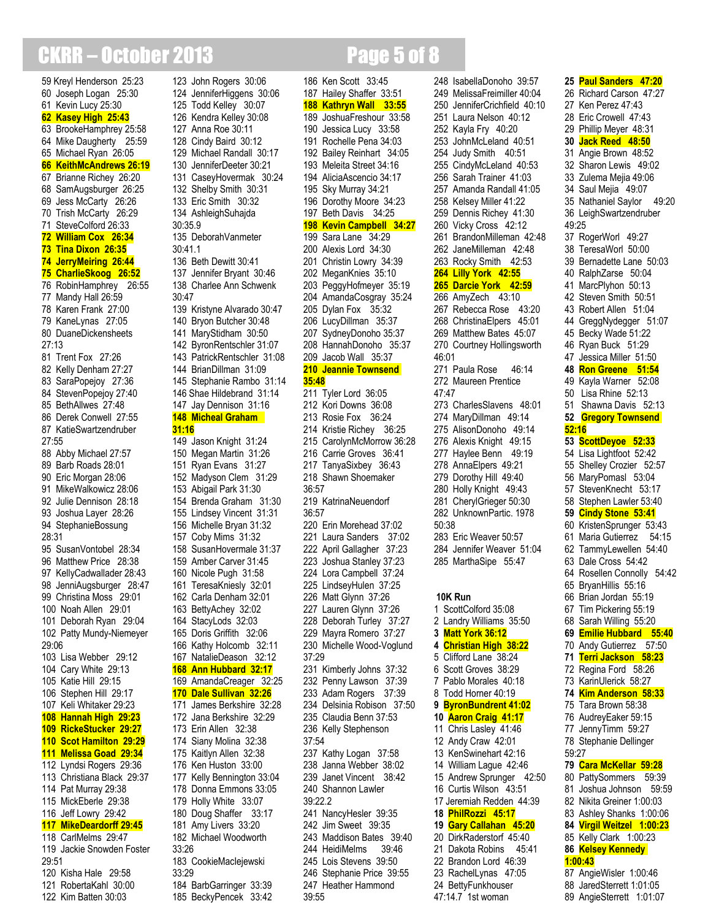## **CKRR – October 2013** Page 5 of 8

 Kreyl Henderson 25:23 Joseph Logan 25:30 Kevin Lucy 25:30 **Kasey High 25:43** BrookeHamphrey 25:58 Mike Daugherty 25:59 Michael Ryan 26:05 **KeithMcAndrews 26:19** Brianne Richey 26:20 SamAugsburger 26:25 Jess McCarty 26:26 Trish McCarty 26:29 SteveColford 26:33 **William Cox 26:34 Tina Dixon 26:35 JerryMeiring 26:44 CharlieSkoog 26:52** RobinHamphrey 26:55 Mandy Hall 26:59 Karen Frank 27:00 KaneLynas 27:05 DuaneDickensheets 27:13 Trent Fox 27:26 Kelly Denham 27:27 SaraPopejoy 27:36 StevenPopejoy 27:40 BethAllwes 27:48 Derek Conwell 27:55 KatieSwartzendruber 27:55 Abby Michael 27:57 Barb Roads 28:01 Eric Morgan 28:06 MikeWalkowicz 28:06 Julie Dennison 28:18 Joshua Layer 28:26 StephanieBossung 28:31 SusanVontobel 28:34 Matthew Price 28:38 KellyCadwallader 28:43 JenniAugsburger 28:47 Christina Moss 29:01 Noah Allen 29:01 Deborah Ryan 29:04 Patty Mundy-Niemeyer 29:06 Lisa Webber 29:12 Cary White 29:13 Katie Hill 29:15 Stephen Hill 29:17 Keli Whitaker 29:23 **Hannah High 29:23 RickeStucker 29:27 Scot Hamilton 29:29 Melissa Goad 29:34** Lyndsi Rogers 29:36 Christiana Black 29:37 Pat Murray 29:38 MickEberle 29:38 Jeff Lowry 29:42 **MikeDeardorff 29:45** CarlMelms 29:47 Jackie Snowden Foster 29:51 Kisha Hale 29:58 RobertaKahl 30:00

Kim Batten 30:03

 John Rogers 30:06 JenniferHiggens 30:06 Todd Kelley 30:07 Kendra Kelley 30:08 Anna Roe 30:11 Cindy Baird 30:12 Michael Randall 30:17 JenniferDeeter 30:21 CaseyHovermak 30:24 Shelby Smith 30:31 Eric Smith 30:32 AshleighSuhajda 30:35.9 DeborahVanmeter 30:41.1 Beth Dewitt 30:41 Jennifer Bryant 30:46 Charlee Ann Schwenk 30:47 Kristyne Alvarado 30:47 Bryon Butcher 30:48 MaryStidham 30:50 ByronRentschler 31:07 PatrickRentschler 31:08 BrianDillman 31:09 Stephanie Rambo 31:14 Shae Hildebrand 31:14 Jay Dennison 31:16 **Micheal Graham 31:16** Jason Knight 31:24 Megan Martin 31:26 Ryan Evans 31:27 Madyson Clem 31:29 Abigail Park 31:30 Brenda Graham 31:30 Lindsey Vincent 31:31 Michelle Bryan 31:32 Coby Mims 31:32 SusanHovermale 31:37 Amber Carver 31:45 Nicole Pugh 31:58 TeresaKniesly 32:01 Carla Denham 32:01 BettyAchey 32:02 StacyLods 32:03 Doris Griffith 32:06 Kathy Holcomb 32:11 NatalieDeason 32:12 **Ann Hubbard 32:17** AmandaCreager 32:25 **Dale Sullivan 32:26** James Berkshire 32:28 Jana Berkshire 32:29 Erin Allen 32:38 Siany Molina 32:38 Kaitlyn Allen 32:38 Ken Huston 33:00 Kelly Bennington 33:04 Donna Emmons 33:05 Holly White 33:07 Doug Shaffer 33:17 Amy Livers 33:20 Michael Woodworth 33:26 CookieMacIejewski 33:29 BarbGarringer 33:39

BeckyPencek 33:42

### JoshuaFreshour 33:58 Jessica Lucy 33:58 Rochelle Pena 34:03 Bailey Reinhart 34:05 Meleita Street 34:16 AliciaAscencio 34:17 Sky Murray 34:21 Dorothy Moore 34:23 Beth Davis 34:25 **Kevin Campbell 34:27** Sara Lane 34:29 Alexis Lord 34:30 Christin Lowry 34:39 MeganKnies 35:10 PeggyHofmeyer 35:19 AmandaCosgray 35:24 Dylan Fox 35:32 LucyDillman 35:37 SydneyDonoho 35:37 HannahDonoho 35:37 Jacob Wall 35:37 **Jeannie Townsend 35:48** Tyler Lord 36:05 Kori Downs 36:08 Rosie Fox 36:24 Kristie Richey 36:25 CarolynMcMorrow 36:28 Carrie Groves 36:41 TanyaSixbey 36:43 Shawn Shoemaker 36:57 KatrinaNeuendorf 36:57 Erin Morehead 37:02 Laura Sanders 37:02 April Gallagher 37:23 Joshua Stanley 37:23 Lora Campbell 37:24 LindseyHulen 37:25 Matt Glynn 37:26 Lauren Glynn 37:26 Deborah Turley 37:27 Mayra Romero 37:27 Michelle Wood-Voglund 37:29 Kimberly Johns 37:32 Penny Lawson 37:39 Adam Rogers 37:39 Delsinia Robison 37:50 Claudia Benn 37:53 Kelly Stephenson 37:54 Kathy Logan 37:58 Janna Webber 38:02 Janet Vincent 38:42 Shannon Lawler 39:22.2 NancyHesler 39:35 Jim Sweet 39:35 Maddison Bates 39:40 HeidiMelms 39:46 Lois Stevens 39:50 Stephanie Price 39:55 Heather Hammond 39:55

 Ken Scott 33:45 Hailey Shaffer 33:51 **Kathryn Wall 33:55**

 MelissaFreimiller 40:04 JenniferCrichfield 40:10 Laura Nelson 40:12 Kayla Fry 40:20 JohnMcLeland 40:51 Judy Smith 40:51 CindyMcLeland 40:53 Sarah Trainer 41:03 Amanda Randall 41:05 Kelsey Miller 41:22 Dennis Richey 41:30 Vicky Cross 42:12 BrandonMilleman 42:48 JaneMilleman 42:48 Rocky Smith 42:53 **Lilly York 42:55 Darcie York 42:59** AmyZech 43:10 Rebecca Rose 43:20 ChristinaElpers 45:01 Matthew Bates 45:07 Courtney Hollingsworth 46:01 Paula Rose 46:14 Maureen Prentice 47:47 CharlesSlavens 48:01 MaryDillman 49:14 AlisonDonoho 49:14 Alexis Knight 49:15 Haylee Benn 49:19 AnnaElpers 49:21 Dorothy Hill 49:40 Holly Knight 49:43 CherylGrieger 50:30 UnknownPartic. 1978 50:38 Eric Weaver 50:57 Jennifer Weaver 51:04 MarthaSipe 55:47 **10K Run** ScottColford 35:08 Landry Williams 35:50 **Matt York 36:12 Christian High 38:22** Clifford Lane 38:24 Scott Groves 38:29 Pablo Morales 40:18 Todd Horner 40:19 **ByronBundrent 41:02 Aaron Craig 41:17** Chris Lasley 41:46 Andy Craw 42:01 KenSwinehart 42:16 William Lague 42:46 Andrew Sprunger 42:50 16 Curtis Wilson 43:51 Jeremiah Redden 44:39 **PhilRozzi 45:17 Gary Callahan 45:20** DirkRaderstorf 45:40 Dakota Robins 45:41 Brandon Lord 46:39 RachelLynas 47:05 BettyFunkhouser 47:14.7 1st woman

IsabellaDonoho 39:57

### Richard Carson 47:27 Ken Perez 47:43 Eric Crowell 47:43 Phillip Meyer 48:31 **Jack Reed 48:50** Angie Brown 48:52 Sharon Lewis 49:02 Zulema Mejia 49:06 Saul Mejia 49:07 Nathaniel Saylor 49:20 LeighSwartzendruber 49:25 RogerWorl 49:27 TeresaWorl 50:00 Bernadette Lane 50:03 RalphZarse 50:04 MarcPlyhon 50:13 Steven Smith 50:51 Robert Allen 51:04 GreggNydegger 51:07 Becky Wade 51:22 Ryan Buck 51:29 Jessica Miller 51:50 **Ron Greene 51:54** Kayla Warner 52:08 50 Lisa Rhine 52:13 51 Shawna Davis 52:13 **52 Gregory Townsend 52:16 ScottDeyoe 52:33** Lisa Lightfoot 52:42 Shelley Crozier 52:57 MaryPomasl 53:04 StevenKnecht 53:17 Stephen Lawler 53:40 **Cindy Stone 53:41** KristenSprunger 53:43 Maria Gutierrez 54:15 TammyLewellen 54:40 Dale Cross 54:42 Rosellen Connolly 54:42 BryanHillis 55:16 Brian Jordan 55:19 Tim Pickering 55:19 Sarah Willing 55:20 **Emilie Hubbard 55:40** Andy Gutierrez 57:50 **Terri Jackson 58:23** Regina Ford 58:26 KarinUlerick 58:27 **Kim Anderson 58:33** Tara Brown 58:38 AudreyEaker 59:15 JennyTimm 59:27 Stephanie Dellinger 59:27 **Cara McKellar 59:28** PattySommers 59:39 Joshua Johnson 59:59 Nikita Greiner 1:00:03 Ashley Shanks 1:00:06 **Virgil Weitzel 1:00:23** Kelly Clark 1:00:23 **Kelsey Kennedy 1:00:43** AngieWisler 1:00:46 JaredSterrett 1:01:05

AngieSterrett 1:01:07

**Paul Sanders 47:20**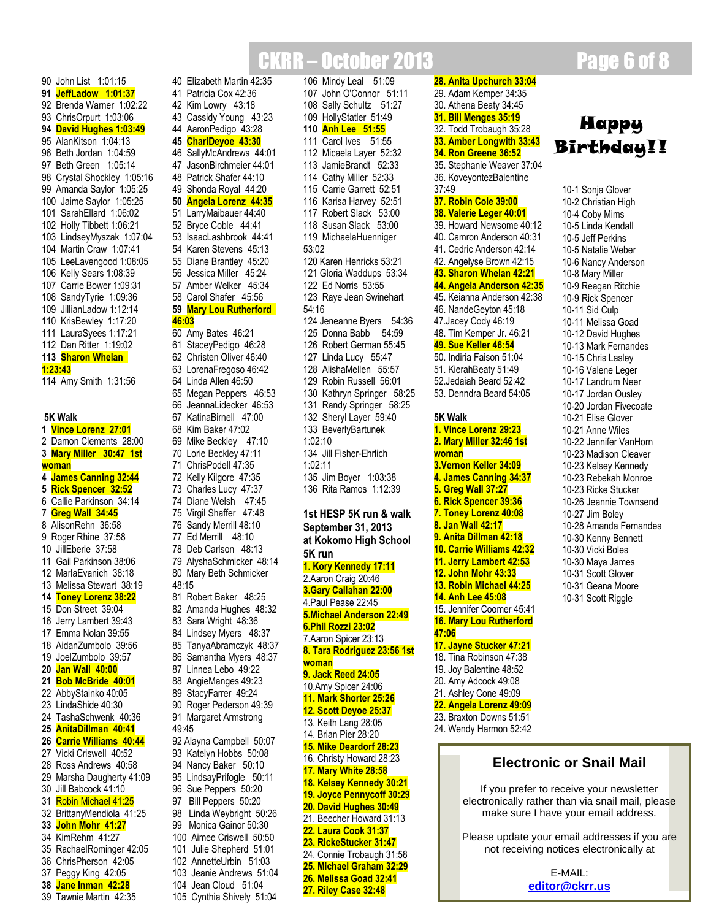### CKRR – October 2013 Page 6 of 8 106 Mindy Leal 51:09

 John O'Connor 51:11 Sally Schultz 51:27 HollyStatler 51:49 **Anh Lee 51:55** Carol Ives 51:55 Micaela Layer 52:32 JamieBrandt 52:33 Cathy Miller 52:33 Carrie Garrett 52:51

### 90 John List 1:01:15 **91 JeffLadow 1:01:37** 92 Brenda Warner 1:02:22 93 ChrisOrpurt 1:03:06 **94 David Hughes 1:03:49** 95 AlanKitson 1:04:13 96 Beth Jordan 1:04:59 97 Beth Green 1:05:14 98 Crystal Shockley 1:05:16 99 Amanda Saylor 1:05:25 100 Jaime Saylor 1:05:25 101 SarahEllard 1:06:02 102 Holly Tibbett 1:06:21 103 LindseyMyszak 1:07:04 104 Martin Craw 1:07:41 105 LeeLavengood 1:08:05 106 Kelly Sears 1:08:39 107 Carrie Bower 1:09:31 108 SandyTyrie 1:09:36 109 JillianLadow 1:12:14 110 KrisBewley 1:17:20 111 LauraSyees 1:17:21 112 Dan Ritter 1:19:02 **113 Sharon Whelan 1:23:43**

114 Amy Smith 1:31:56

### **5K Walk**

 **Vince Lorenz 27:01** Damon Clements 28:00 **Mary Miller 30:47 1st woman James Canning 32:44 Rick Spencer 32:52** Callie Parkinson 34:14 **Greg Wall 34:45** AlisonRehn 36:58 Roger Rhine 37:58 JillEberle 37:58 Gail Parkinson 38:06 MarlaEvanich 38:18 Melissa Stewart 38:19 **Toney Lorenz 38:22** Don Street 39:04 Jerry Lambert 39:43 Emma Nolan 39:55 AidanZumbolo 39:56 JoelZumbolo 39:57 **Jan Wall 40:00 Bob McBride 40:01** AbbyStainko 40:05 LindaShide 40:30 TashaSchwenk 40:36 **AnitaDillman 40:41 Carrie Williams 40:44** Vicki Criswell 40:52 Ross Andrews 40:58 Marsha Daugherty 41:09 Jill Babcock 41:10 Robin Michael 41:25 BrittanyMendiola 41:25 **John Mohr 41:27** KimRehm 41:27 RachaelRominger 42:05 ChrisPherson 42:05 Peggy King 42:05 **Jane Inman 42:28**

39 Tawnie Martin 42:35

 Elizabeth Martin 42:35 Patricia Cox 42:36 Kim Lowry 43:18 Cassidy Young 43:23 AaronPedigo 43:28 **ChariDeyoe 43:30** SallyMcAndrews 44:01 JasonBirchmeier 44:01 Patrick Shafer 44:10 Shonda Royal 44:20 **Angela Lorenz 44:35** LarryMaibauer 44:40 Bryce Coble 44:41 IsaacLashbrook 44:41 Karen Stevens 45:13 Diane Brantley 45:20 Jessica Miller 45:24 Amber Welker 45:34 Carol Shafer 45:56 **Mary Lou Rutherford 46:03** Amy Bates 46:21 StaceyPedigo 46:28 Christen Oliver 46:40 LorenaFregoso 46:42 Linda Allen 46:50 Megan Peppers 46:53 JeannaLidecker 46:53 KatinaBirnell 47:00 Kim Baker 47:02 Mike Beckley 47:10 Lorie Beckley 47:11 ChrisPodell 47:35 Kelly Kilgore 47:35 Charles Lucy 47:37 Diane Welsh 47:45 Virgil Shaffer 47:48 Sandy Merrill 48:10 Ed Merrill 48:10 Deb Carlson 48:13 AlyshaSchmicker 48:14 Mary Beth Schmicker 48:15 Robert Baker 48:25 Amanda Hughes 48:32 Sara Wright 48:36 Lindsey Myers 48:37 TanyaAbramczyk 48:37 Samantha Myers 48:37 Linnea Lebo 49:22 AngieManges 49:23 StacyFarrer 49:24 Roger Pederson 49:39 Margaret Armstrong 49:45 Alayna Campbell 50:07 Katelyn Hobbs 50:08 Nancy Baker 50:10

 LindsayPrifogle 50:11 Sue Peppers 50:20 Bill Peppers 50:20 Linda Weybright 50:26 Monica Gainor 50:30 Aimee Criswell 50:50 Julie Shepherd 51:01 AnnetteUrbin 51:03 Jeanie Andrews 51:04 Jean Cloud 51:04 Cynthia Shively 51:04

116 Karisa Harvey 52:51 117 Robert Slack 53:00 118 Susan Slack 53:00 119 MichaelaHuenniger 53:02 120 Karen Henricks 53:21 121 Gloria Waddups 53:34 122 Ed Norris 53:55 123 Raye Jean Swinehart 54:16 124 Jeneanne Byers 54:36 125 Donna Babb 54:59 126 Robert German 55:45 127 Linda Lucy 55:47 128 AlishaMellen 55:57 129 Robin Russell 56:01 130 Kathryn Springer 58:25 131 Randy Springer 58:25 132 Sheryl Layer 59:40 133 BeverlyBartunek 1:02:10 134 Jill Fisher-Ehrlich 1:02:11 135 Jim Boyer 1:03:38 136 Rita Ramos 1:12:39 **1st HESP 5K run & walk September 31, 2013 at Kokomo High School 5K run 1. Kory Kennedy 17:11** 2.Aaron Craig 20:46 **3.Gary Callahan 22:00** 4.Paul Pease 22:45 **5.Michael Anderson 22:49 6.Phil Rozzi 23:02** 7.Aaron Spicer 23:13 **8. Tara Rodriguez 23:56 1st woman 9. Jack Reed 24:05** 10.Amy Spicer 24:06 **11. Mark Shorter 25:26 12. Scott Deyoe 25:37** 13. Keith Lang 28:05 14. Brian Pier 28:20 **15. Mike Deardorf 28:23** 16. Christy Howard 28:23 **17. Mary White 28:58 18. Kelsey Kennedy 30:21 19. Joyce Pennycoff 30:29 20. David Hughes 30:49** 21. Beecher Howard 31:13 **22. Laura Cook 31:37 23. RickeStucker 31:47** 24. Connie Trobaugh 31:58 **25. Michael Graham 32:29 26. Melissa Goad 32:41 27. Riley Case 32:48**

**28. Anita Upchurch 33:04** 29. Adam Kemper 34:35 30. Athena Beaty 34:45 **31. Bill Menges 35:19** 32. Todd Trobaugh 35:28 **33. Amber Longwith 33:43 34. Ron Greene 36:52** 35. Stephanie Weaver 37:04 36. KoveyontezBalentine 37:49 **37. Robin Cole 39:00 38. Valerie Leger 40:01** 39. Howard Newsome 40:12 40. Camron Anderson 40:31 41. Cedric Anderson 42:14 42. Angelyse Brown 42:15 **43. Sharon Whelan 42:21 44. Angela Anderson 42:35** 45. Keianna Anderson 42:38 46. NandeGeyton 45:18 47.Jacey Cody 46:19 48. Tim Kemper Jr. 46:21 **49. Sue Keller 46:54** 50. Indiria Faison 51:04 51. KierahBeaty 51:49 52.Jedaiah Beard 52:42 53. Denndra Beard 54:05 **5K Walk 1. Vince Lorenz 29:23 2. Mary Miller 32:46 1st woman 3.Vernon Keller 34:09 4. James Canning 34:37 5. Greg Wall 37:27 6. Rick Spencer 39:36 7. Toney Lorenz 40:08 8. Jan Wall 42:17 9. Anita Dillman 42:18 10. Carrie Williams 42:32 11. Jerry Lambert 42:53 12. John Mohr 43:33 13. Robin Michael 44:25 14. Anh Lee 45:08** 15. Jennifer Coomer 45:41 **16. Mary Lou Rutherford 47:06 17. Jayne Stucker 47:21** 18. Tina Robinson 47:38 19. Joy Balentine 48:52 20. Amy Adcock 49:08 21. Ashley Cone 49:09 **22. Angela Lorenz 49:09** 23. Braxton Downs 51:51 24. Wendy Harmon 52:42

## **Happy Birthday!!**

10-1 Sonja Glover 10-2 Christian High 10-4 Coby Mims 10-5 Linda Kendall 10-5 Jeff Perkins 10-5 Natalie Weber 10-6 Nancy Anderson 10-8 Mary Miller 10-9 Reagan Ritchie 10-9 Rick Spencer 10-11 Sid Culp 10-11 Melissa Goad 10-12 David Hughes 10-13 Mark Fernandes 10-15 Chris Lasley 10-16 Valene Leger 10-17 Landrum Neer 10-17 Jordan Ousley 10-20 Jordan Fivecoate 10-21 Elise Glover 10-21 Anne Wiles 10-22 Jennifer VanHorn 10-23 Madison Cleaver 10-23 Kelsey Kennedy 10-23 Rebekah Monroe 10-23 Ricke Stucker 10-26 Jeannie Townsend 10-27 Jim Boley 10-28 Amanda Fernandes 10-30 Kenny Bennett 10-30 Vicki Boles 10-30 Maya James 10-31 Scott Glover 10-31 Geana Moore 10-31 Scott Riggle

### **Electronic or Snail Mail**

If you prefer to receive your newsletter electronically rather than via snail mail, please make sure I have your email address.

Please update your email addresses if you are not receiving notices electronically at

> E-MAIL: **[editor@ckrr.us](mailto:editor@ckrr.us)**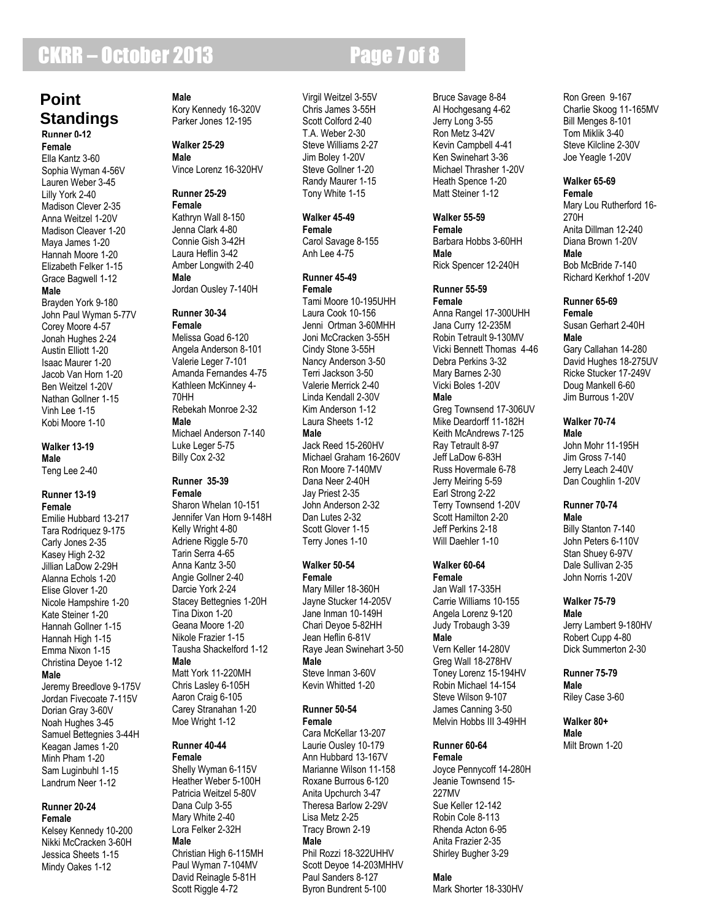## **CKRR – October 2013** Page 7 of 8

### **Runner 0-12 Point Standings**

**Female** Ella Kantz 3-60 Sophia Wyman 4-56V Lauren Weber 3-45 Lilly York 2-40 Madison Clever 2-35 Anna Weitzel 1-20V Madison Cleaver 1-20 Maya James 1-20 Hannah Moore 1-20 Elizabeth Felker 1-15 Grace Bagwell 1-12 **Male** Brayden York 9-180

John Paul Wyman 5-77V Corey Moore 4-57 Jonah Hughes 2-24 Austin Elliott 1-20 Isaac Maurer 1-20 Jacob Van Horn 1-20 Ben Weitzel 1-20V Nathan Gollner 1-15 Vinh Lee 1-15 Kobi Moore 1-10

#### **Walker 13-19 Male**

Teng Lee 2-40

#### **Runner 13-19 Female**

Emilie Hubbard 13-217 Tara Rodriquez 9-175 Carly Jones 2-35 Kasey High 2-32 Jillian LaDow 2-29H Alanna Echols 1-20 Elise Glover 1-20 Nicole Hampshire 1-20 Kate Steiner 1-20 Hannah Gollner 1-15 Hannah High 1-15 Emma Nixon 1-15 Christina Deyoe 1-12 **Male** Jeremy Breedlove 9-175V Jordan Fivecoate 7-115V Dorian Gray 3-60V Noah Hughes 3-45 Samuel Bettegnies 3-44H Keagan James 1-20 Minh Pham 1-20 Sam Luginbuhl 1-15 Landrum Neer 1-12

#### **Runner 20-24 Female**

Kelsey Kennedy 10-200 Nikki McCracken 3-60H Jessica Sheets 1-15 Mindy Oakes 1-12

**Male** Kory Kennedy 16-320V Parker Jones 12-195

#### **Walker 25-29 Male**

Vince Lorenz 16-320HV

#### **Runner 25-29 Female**

Kathryn Wall 8-150 Jenna Clark 4-80 Connie Gish 3-42H Laura Heflin 3-42 Amber Longwith 2-40 **Male** Jordan Ousley 7-140H

### **Runner 30-34 Female**

Melissa Goad 6-120 Angela Anderson 8-101 Valerie Leger 7-101 Amanda Fernandes 4-75 Kathleen McKinney 4- 70HH Rebekah Monroe 2-32 **Male** Michael Anderson 7-140 Luke Leger 5-75 Billy Cox 2-32

#### **Runner 35-39 Female**

Sharon Whelan 10-151 Jennifer Van Horn 9-148H Kelly Wright 4-80 Adriene Riggle 5-70 Tarin Serra 4-65 Anna Kantz 3-50 Angie Gollner 2-40 Darcie York 2-24 Stacey Bettegnies 1-20H Tina Dixon 1-20 Geana Moore 1-20 Nikole Frazier 1-15 Tausha Shackelford 1-12 **Male** Matt York 11-220MH Chris Lasley 6-105H Aaron Craig 6-105 Carey Stranahan 1-20 Moe Wright 1-12

### **Runner 40-44 Female**

Shelly Wyman 6-115V Heather Weber 5-100H Patricia Weitzel 5-80V Dana Culp 3-55 Mary White 2-40 Lora Felker 2-32H **Male**

Christian High 6-115MH Paul Wyman 7-104MV David Reinagle 5-81H Scott Riggle 4-72

Virgil Weitzel 3-55V Chris James 3-55H Scott Colford 2-40 T.A. Weber 2-30 Steve Williams 2-27 Jim Boley 1-20V Steve Gollner 1-20 Randy Maurer 1-15 Tony White 1-15

### **Walker 45-49**

**Female** Carol Savage 8-155 Anh Lee 4-75

### **Runner 45-49 Female**

Tami Moore 10-195UHH Laura Cook 10-156 Jenni Ortman 3-60MHH Joni McCracken 3-55H Cindy Stone 3-55H Nancy Anderson 3-50 Terri Jackson 3-50 Valerie Merrick 2-40 Linda Kendall 2-30V Kim Anderson 1-12 Laura Sheets 1-12 **Male** Jack Reed 15-260HV Michael Graham 16-260V Ron Moore 7-140MV Dana Neer 2-40H Jay Priest 2-35 John Anderson 2-32 Dan Lutes 2-32 Scott Glover 1-15 Terry Jones 1-10

### **Walker 50-54 Female**

Mary Miller 18-360H Jayne Stucker 14-205V Jane Inman 10-149H Chari Deyoe 5-82HH Jean Heflin 6-81V Raye Jean Swinehart 3-50 **Male** Steve Inman 3-60V Kevin Whitted 1-20

### **Runner 50-54 Female**

Cara McKellar 13-207 Laurie Ousley 10-179 Ann Hubbard 13-167V Marianne Wilson 11-158 Roxane Burrous 6-120 Anita Upchurch 3-47 Theresa Barlow 2-29V Lisa Metz 2-25 Tracy Brown 2-19 **Male**

Phil Rozzi 18-322UHHV Scott Deyoe 14-203MHHV Paul Sanders 8-127 Byron Bundrent 5-100

Bruce Savage 8-84 Al Hochgesang 4-62 Jerry Long 3-55 Ron Metz 3-42V Kevin Campbell 4-41 Ken Swinehart 3-36 Michael Thrasher 1-20V Heath Spence 1-20 Matt Steiner 1-12

### **Walker 55-59**

**Female** Barbara Hobbs 3-60HH **Male** Rick Spencer 12-240H

### **Runner 55-59**

**Female** Anna Rangel 17-300UHH Jana Curry 12-235M Robin Tetrault 9-130MV Vicki Bennett Thomas 4-46 Debra Perkins 3-32 Mary Barnes 2-30 Vicki Boles 1-20V **Male** Greg Townsend 17-306UV Mike Deardorff 11-182H Keith McAndrews 7-125 Ray Tetrault 8-97 Jeff LaDow 6-83H Russ Hovermale 6-78 Jerry Meiring 5-59 Earl Strong 2-22 Terry Townsend 1-20V Scott Hamilton 2-20 Jeff Perkins 2-18 Will Daehler 1-10

### **Walker 60-64 Female**

Jan Wall 17-335H Carrie Williams 10-155 Angela Lorenz 9-120 Judy Trobaugh 3-39 **Male** Vern Keller 14-280V Greg Wall 18-278HV Toney Lorenz 15-194HV Robin Michael 14-154 Steve Wilson 9-107 James Canning 3-50 Melvin Hobbs III 3-49HH

### **Runner 60-64**

**Female** Joyce Pennycoff 14-280H Jeanie Townsend 15- 227MV Sue Keller 12-142 Robin Cole 8-113 Rhenda Acton 6-95 Anita Frazier 2-35 Shirley Bugher 3-29

### **Male**

Mark Shorter 18-330HV

Ron Green 9-167 Charlie Skoog 11-165MV Bill Menges 8-101 Tom Miklik 3-40 Steve Kilcline 2-30V Joe Yeagle 1-20V

### **Walker 65-69**

**Female** Mary Lou Rutherford 16- 270H Anita Dillman 12-240 Diana Brown 1-20V **Male** Bob McBride 7-140 Richard Kerkhof 1-20V

### **Runner 65-69**

**Female** Susan Gerhart 2-40H **Male** Gary Callahan 14-280 David Hughes 18-275UV Ricke Stucker 17-249V Doug Mankell 6-60 Jim Burrous 1-20V

#### **Walker 70-74 Male**

John Mohr 11-195H Jim Gross 7-140 Jerry Leach 2-40V Dan Coughlin 1-20V

#### **Runner 70-74 Male**

Billy Stanton 7-140 John Peters 6-110V Stan Shuey 6-97V Dale Sullivan 2-35 John Norris 1-20V

### **Walker 75-79**

**Male** Jerry Lambert 9-180HV Robert Cupp 4-80 Dick Summerton 2-30

#### **Runner 75-79 Male**

Riley Case 3-60

### **Walker 80+ Male** Milt Brown 1-20